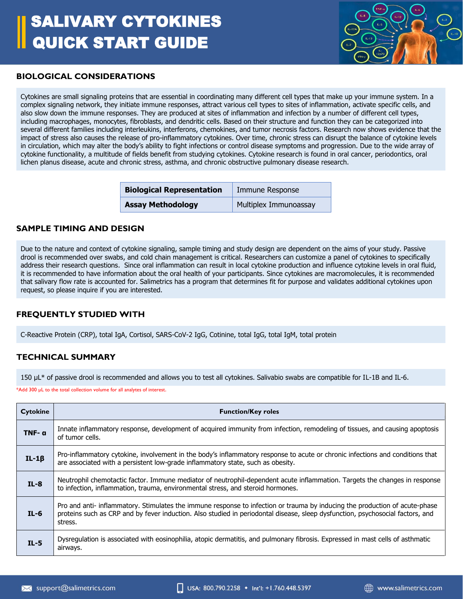# SALIVARY CYTOKINES QUICK START GUIDE



#### **BIOLOGICAL CONSIDERATIONS**

Cytokines are small signaling proteins that are essential in coordinating many different cell types that make up your immune system. In a complex signaling network, they initiate immune responses, attract various cell types to sites of inflammation, activate specific cells, and also slow down the immune responses. They are produced at sites of inflammation and infection by a number of different cell types, including macrophages, monocytes, fibroblasts, and dendritic cells. Based on their structure and function they can be categorized into several different families including interleukins, interferons, chemokines, and tumor necrosis factors. Research now shows evidence that the impact of stress also causes the release of pro-inflammatory cytokines. Over time, chronic stress can disrupt the balance of cytokine levels in circulation, which may alter the body's ability to fight infections or control disease symptoms and progression. Due to the wide array of cytokine functionality, a multitude of fields benefit from studying cytokines. Cytokine research is found in oral cancer, periodontics, oral lichen planus disease, acute and chronic stress, asthma, and chronic obstructive pulmonary disease research.

| <b>Biological Representation</b> | Immune Response              |
|----------------------------------|------------------------------|
| <b>Assay Methodology</b>         | <b>Multiplex Immunoassay</b> |

#### **SAMPLE TIMING AND DESIGN**

Due to the nature and context of cytokine signaling, sample timing and study design are dependent on the aims of your study. Passive drool is recommended over swabs, and cold chain management is critical. Researchers can customize a panel of cytokines to specifically address their research questions. Since oral inflammation can result in local cytokine production and influence cytokine levels in oral fluid, it is recommended to have information about the oral health of your participants. Since cytokines are macromolecules, it is recommended that salivary flow rate is accounted for. Salimetrics has a program that determines fit for purpose and validates additional cytokines upon request, so please inquire if you are interested.

#### **FREQUENTLY STUDIED WITH**

C-Reactive Protein (CRP), total IgA, Cortisol, SARS-CoV-2 IgG, Cotinine, total IgG, total IgM, total protein

#### **TECHNICAL SUMMARY**

150 µL\* of passive drool is recommended and allows you to test all cytokines. Salivabio swabs are compatible for IL-1B and IL-6.

\*Add 300 µL to the total collection volume for all analytes of interest.

| <b>Cytokine</b> | <b>Function/Key roles</b>                                                                                                                                                                                                                                                |
|-----------------|--------------------------------------------------------------------------------------------------------------------------------------------------------------------------------------------------------------------------------------------------------------------------|
| TNF- a          | Innate inflammatory response, development of acquired immunity from infection, remodeling of tissues, and causing apoptosis<br>of tumor cells.                                                                                                                           |
| $IL-1\beta$     | Pro-inflammatory cytokine, involvement in the body's inflammatory response to acute or chronic infections and conditions that<br>are associated with a persistent low-grade inflammatory state, such as obesity.                                                         |
| $IL-8$          | Neutrophil chemotactic factor. Immune mediator of neutrophil-dependent acute inflammation. Targets the changes in response<br>to infection, inflammation, trauma, environmental stress, and steroid hormones.                                                            |
| $IL-6$          | Pro and anti- inflammatory. Stimulates the immune response to infection or trauma by inducing the production of acute-phase<br>proteins such as CRP and by fever induction. Also studied in periodontal disease, sleep dysfunction, psychosocial factors, and<br>stress. |
| $IL-5$          | Dysregulation is associated with eosinophilia, atopic dermatitis, and pulmonary fibrosis. Expressed in mast cells of asthmatic<br>airways.                                                                                                                               |